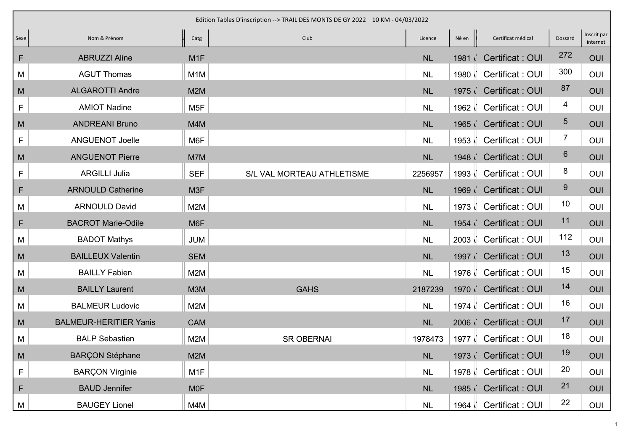|             |                               |                  | Edition Tables D'inscription --> TRAIL DES MONTS DE GY 2022 10 KM - 04/03/2022 |           |                   |                         |         |                         |
|-------------|-------------------------------|------------------|--------------------------------------------------------------------------------|-----------|-------------------|-------------------------|---------|-------------------------|
| Sexe        | Nom & Prénom                  | u<br>Catg        | Club                                                                           | Licence   | Né en             | Certificat médical      | Dossard | Inscrit par<br>internet |
| F           | <b>ABRUZZI Aline</b>          | M <sub>1</sub> F |                                                                                | <b>NL</b> | 1981 <sub>1</sub> | Certificat: OUI         | 272     | OUI                     |
| M           | <b>AGUT Thomas</b>            | M <sub>1</sub> M |                                                                                | <b>NL</b> | 1980              | Certificat: OUI         | 300     | OUI                     |
| M           | <b>ALGAROTTI Andre</b>        | M <sub>2</sub> M |                                                                                | <b>NL</b> |                   | 1975 Certificat: OUI    | 87      | OUI                     |
| F           | <b>AMIOT Nadine</b>           | M <sub>5F</sub>  |                                                                                | <b>NL</b> | 1962              | Certificat: OUI         | 4       | OUI                     |
| M           | <b>ANDREANI Bruno</b>         | M4M              |                                                                                | NL        |                   | 1965 Certificat : OUI   | 5       | OUI                     |
| F           | <b>ANGUENOT Joelle</b>        | M6F              |                                                                                | <b>NL</b> | 1953              | Certificat: OUI         | 7       | OUI                     |
| M           | <b>ANGUENOT Pierre</b>        | M7M              |                                                                                | <b>NL</b> |                   | 1948 Certificat : OUI   | 6       | OUI                     |
| $\mathsf F$ | <b>ARGILLI Julia</b>          | <b>SEF</b>       | S/L VAL MORTEAU ATHLETISME                                                     | 2256957   | 1993              | Certificat: OUI         | 8       | OUI                     |
| F           | <b>ARNOULD Catherine</b>      | M <sub>3F</sub>  |                                                                                | <b>NL</b> |                   | 1969 Certificat : OUI   | 9       | OUI                     |
| M           | <b>ARNOULD David</b>          | M2M              |                                                                                | <b>NL</b> | 1973              | Certificat: OUI         | 10      | OUI                     |
| F           | <b>BACROT Marie-Odile</b>     | M <sub>6</sub> F |                                                                                | <b>NL</b> |                   | 1954 Certificat : OUI   | 11      | OUI                     |
| M           | <b>BADOT Mathys</b>           | <b>JUM</b>       |                                                                                | <b>NL</b> | 2003              | Certificat: OUI         | 112     | OUI                     |
| M           | <b>BAILLEUX Valentin</b>      | <b>SEM</b>       |                                                                                | <b>NL</b> |                   | 1997 Certificat : OUI   | 13      | OUI                     |
| M           | <b>BAILLY Fabien</b>          | M2M              |                                                                                | <b>NL</b> | 1976              | Certificat: OUI         | 15      | OUI                     |
| M           | <b>BAILLY Laurent</b>         | <b>M3M</b>       | <b>GAHS</b>                                                                    | 2187239   | 1970              | <b>Certificat: OUI</b>  | 14      | OUI                     |
| M           | <b>BALMEUR Ludovic</b>        | M2M              |                                                                                | <b>NL</b> | 1974 N            | Certificat: OUI         | 16      | <b>OUI</b>              |
| M           | <b>BALMEUR-HERITIER Yanis</b> | <b>CAM</b>       |                                                                                | <b>NL</b> |                   | 2006 Certificat : OUI   | 17      | OUI                     |
| M           | <b>BALP Sebastien</b>         | M2M              | <b>SR OBERNAI</b>                                                              | 1978473   | 1977 ∖่           | Certificat: OUI         | 18      | OUI                     |
| M           | <b>BARÇON Stéphane</b>        | M2M              |                                                                                | $\sf NL$  |                   | 1973 Certificat : OUI   | 19      | OUI                     |
| F           | <b>BARÇON Virginie</b>        | M <sub>1</sub> F |                                                                                | NL        |                   | 1978   Certificat : OUI | 20      | OUI                     |
| F           | <b>BAUD Jennifer</b>          | <b>MOF</b>       |                                                                                | NL        |                   | 1985 Certificat : OUI   | 21      | OUI                     |
| M           | <b>BAUGEY Lionel</b>          | M4M              |                                                                                | $\sf NL$  | 1964              | Certificat : OUI        | 22      | OUI                     |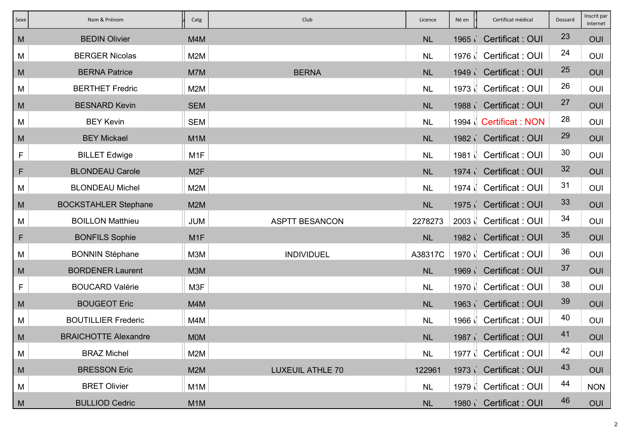| Sexe        | Nom & Prénom                | Catg             | Club                    | Licence   | Né en             | Certificat médical      | Dossard | Inscrit par<br>internet |
|-------------|-----------------------------|------------------|-------------------------|-----------|-------------------|-------------------------|---------|-------------------------|
| M           | <b>BEDIN Olivier</b>        | M4M              |                         | NL        | 1965              | Certificat: OUI         | 23      | OUI                     |
| М           | <b>BERGER Nicolas</b>       | M2M              |                         | <b>NL</b> |                   | 1976   Certificat : OUI | 24      | OUI                     |
| M           | <b>BERNA Patrice</b>        | M7M              | <b>BERNA</b>            | <b>NL</b> |                   | 1949 Certificat: OUI    | 25      | OUI                     |
| M           | <b>BERTHET Fredric</b>      | M2M              |                         | <b>NL</b> | 1973 N            | Certificat: OUI         | 26      | OUI                     |
| M           | <b>BESNARD Kevin</b>        | <b>SEM</b>       |                         | <b>NL</b> |                   | 1988 Certificat : OUI   | 27      | OUI                     |
| M           | <b>BEY Kevin</b>            | <b>SEM</b>       |                         | <b>NL</b> |                   | 1994   Certificat: NON  | 28      | OUI                     |
| M           | <b>BEY Mickael</b>          | M <sub>1</sub> M |                         | NL        |                   | 1982 Certificat : OUI   | 29      | OUI                     |
| F           | <b>BILLET Edwige</b>        | M <sub>1</sub> F |                         | <b>NL</b> | $1981$ $\vert$    | Certificat: OUI         | 30      | OUI                     |
| F           | <b>BLONDEAU Carole</b>      | M <sub>2</sub> F |                         | <b>NL</b> |                   | 1974 Certificat: OUI    | 32      | OUI                     |
| M           | <b>BLONDEAU Michel</b>      | M2M              |                         | <b>NL</b> | 1974 N            | Certificat: OUI         | 31      | OUI                     |
| M           | <b>BOCKSTAHLER Stephane</b> | M <sub>2</sub> M |                         | <b>NL</b> |                   | 1975 Certificat : OUI   | 33      | OUI                     |
| М           | <b>BOILLON Matthieu</b>     | <b>JUM</b>       | <b>ASPTT BESANCON</b>   | 2278273   |                   | 2003   Certificat : OUI | 34      | OUI                     |
| F           | <b>BONFILS Sophie</b>       | M <sub>1</sub> F |                         | NL        |                   | 1982 Certificat : OUI   | 35      | OUI                     |
| М           | <b>BONNIN Stéphane</b>      | M3M              | <b>INDIVIDUEL</b>       | A38317C   | 1970              | Certificat: OUI         | 36      | OUI                     |
| M           | <b>BORDENER Laurent</b>     | M3M              |                         | NL        |                   | 1969 Certificat : OUI   | 37      | OUI                     |
| $\mathsf F$ | <b>BOUCARD Valérie</b>      | M3F              |                         | <b>NL</b> | $1970$ $\sqrt{ }$ | Certificat: OUI         | 38      | OUI                     |
| M           | <b>BOUGEOT Eric</b>         | M4M              |                         | NL        | 1963              | <b>Certificat: OUI</b>  | 39      | OUI                     |
| M           | <b>BOUTILLIER Frederic</b>  | M4M              |                         | <b>NL</b> |                   | 1966   Certificat : OUI | 40      | OUI                     |
| M           | <b>BRAICHOTTE Alexandre</b> | <b>MOM</b>       |                         | <b>NL</b> |                   | 1987 Certificat : OUI   | 41      | OUI                     |
| M           | <b>BRAZ Michel</b>          | M2M              |                         | NL        |                   | 1977   Certificat : OUI | 42      | OUI                     |
| M           | <b>BRESSON Eric</b>         | M <sub>2</sub> M | <b>LUXEUIL ATHLE 70</b> | 122961    |                   | 1973 Certificat : OUI   | 43      | OUI                     |
| M           | <b>BRET Olivier</b>         | M <sub>1</sub> M |                         | <b>NL</b> |                   | 1979   Certificat : OUI | 44      | <b>NON</b>              |
| M           | <b>BULLIOD Cedric</b>       | M <sub>1</sub> M |                         | <b>NL</b> | 1980 i            | Certificat: OUI         | 46      | OUI                     |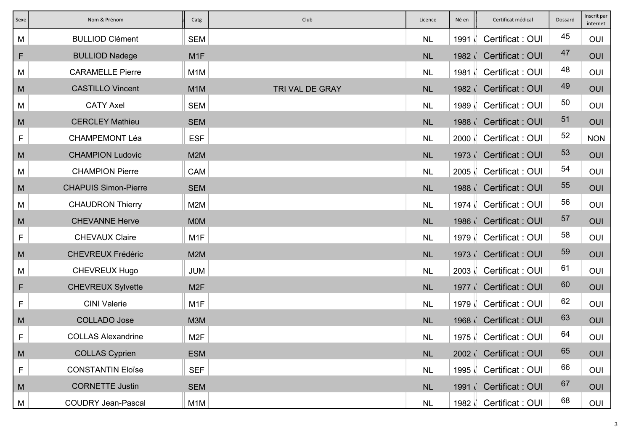| Sexe         | Nom & Prénom                | Catg             | Club            | Licence   | Né en  | Certificat médical      | Dossard | Inscrit par<br>internet |
|--------------|-----------------------------|------------------|-----------------|-----------|--------|-------------------------|---------|-------------------------|
| M            | <b>BULLIOD Clément</b>      | <b>SEM</b>       |                 | <b>NL</b> | 1991   | Certificat: OUI         | 45      | OUI                     |
| $\mathsf{F}$ | <b>BULLIOD Nadege</b>       | M <sub>1</sub> F |                 | <b>NL</b> |        | 1982 Certificat: OUI    | 47      | OUI                     |
| М            | <b>CARAMELLE Pierre</b>     | M <sub>1</sub> M |                 | <b>NL</b> |        | 1981   Certificat : OUI | 48      | OUI                     |
| M            | <b>CASTILLO Vincent</b>     | M <sub>1</sub> M | TRI VAL DE GRAY | <b>NL</b> |        | 1982 Certificat : OUI   | 49      | OUI                     |
| M            | <b>CATY Axel</b>            | <b>SEM</b>       |                 | <b>NL</b> |        | 1989   Certificat : OUI | 50      | OUI                     |
| M            | <b>CERCLEY Mathieu</b>      | <b>SEM</b>       |                 | <b>NL</b> |        | 1988 Certificat : OUI   | 51      | OUI                     |
| $\mathsf F$  | <b>CHAMPEMONT Léa</b>       | <b>ESF</b>       |                 | <b>NL</b> |        | 2000   Certificat : OUI | 52      | <b>NON</b>              |
| M            | <b>CHAMPION Ludovic</b>     | M <sub>2</sub> M |                 | NL        |        | 1973 Certificat : OUI   | 53      | OUI                     |
| М            | <b>CHAMPION Pierre</b>      | CAM              |                 | <b>NL</b> |        | 2005   Certificat : OUI | 54      | OUI                     |
| M            | <b>CHAPUIS Simon-Pierre</b> | <b>SEM</b>       |                 | <b>NL</b> |        | 1988 Certificat : OUI   | 55      | OUI                     |
| M            | <b>CHAUDRON Thierry</b>     | M2M              |                 | <b>NL</b> |        | 1974   Certificat : OUI | 56      | OUI                     |
| M            | <b>CHEVANNE Herve</b>       | <b>MOM</b>       |                 | <b>NL</b> |        | 1986 Certificat : OUI   | 57      | OUI                     |
| F            | <b>CHEVAUX Claire</b>       | M <sub>1</sub> F |                 | <b>NL</b> | 1979 N | Certificat: OUI         | 58      | OUI                     |
| M            | <b>CHEVREUX Frédéric</b>    | M <sub>2</sub> M |                 | NL        |        | 1973 Certificat : OUI   | 59      | OUI                     |
| M            | CHEVREUX Hugo               | <b>JUM</b>       |                 | <b>NL</b> |        | 2003   Certificat : OUI | 61      | OUI                     |
| F            | <b>CHEVREUX Sylvette</b>    | M <sub>2F</sub>  |                 | <b>NL</b> | 1977   | Certificat: OUI         | 60      | OUI                     |
| F            | <b>CINI Valerie</b>         | M <sub>1</sub> F |                 | <b>NL</b> |        | 1979   Certificat : OUI | 62      | OUI                     |
| M            | <b>COLLADO Jose</b>         | M3M              |                 | <b>NL</b> |        | 1968 Certificat : OUI   | 63      | OUI                     |
| F            | <b>COLLAS Alexandrine</b>   | M <sub>2</sub> F |                 | <b>NL</b> |        | 1975   Certificat : OUI | 64      | OUI                     |
| M            | <b>COLLAS Cyprien</b>       | <b>ESM</b>       |                 | NL        |        | 2002 Certificat : OUI   | 65      | OUI                     |
| F            | <b>CONSTANTIN Eloïse</b>    | <b>SEF</b>       |                 | <b>NL</b> |        | 1995   Certificat : OUI | 66      | OUI                     |
| M            | <b>CORNETTE Justin</b>      | <b>SEM</b>       |                 | NL        |        | 1991 Certificat : OUI   | 67      | OUI                     |
| M            | <b>COUDRY Jean-Pascal</b>   | M1M              |                 | NL        | 1982 N | Certificat: OUI         | 68      | OUI                     |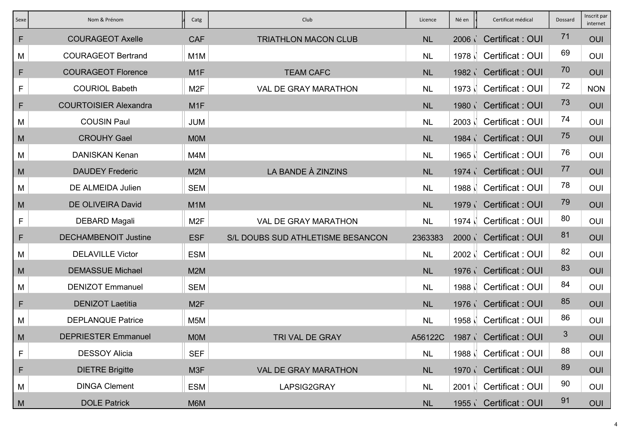| Sexe         | Nom & Prénom                 | Catg             | Club                              | Licence   | Né en             | Certificat médical      | Dossard | Inscrit par<br>internet |
|--------------|------------------------------|------------------|-----------------------------------|-----------|-------------------|-------------------------|---------|-------------------------|
| F            | <b>COURAGEOT Axelle</b>      | <b>CAF</b>       | <b>TRIATHLON MACON CLUB</b>       | <b>NL</b> | 2006 <sub>1</sub> | Certificat: OUI         | 71      | OUI                     |
| М            | <b>COURAGEOT Bertrand</b>    | M <sub>1</sub> M |                                   | <b>NL</b> | 1978              | Certificat: OUI         | 69      | OUI                     |
| $\mathsf{F}$ | <b>COURAGEOT Florence</b>    | M <sub>1</sub> F | <b>TEAM CAFC</b>                  | <b>NL</b> | 1982 <sub>1</sub> | Certificat: OUI         | 70      | OUI                     |
| $\mathsf F$  | <b>COURIOL Babeth</b>        | M <sub>2</sub> F | <b>VAL DE GRAY MARATHON</b>       | <b>NL</b> | 1973              | Certificat: OUI         | 72      | <b>NON</b>              |
| F            | <b>COURTOISIER Alexandra</b> | M <sub>1</sub> F |                                   | <b>NL</b> | $1980$ $\lambda$  | Certificat: OUI         | 73      | OUI                     |
| М            | <b>COUSIN Paul</b>           | <b>JUM</b>       |                                   | <b>NL</b> | 2003              | Certificat: OUI         | 74      | OUI                     |
| M            | <b>CROUHY Gael</b>           | <b>MOM</b>       |                                   | <b>NL</b> |                   | 1984 Certificat : OUI   | 75      | OUI                     |
| М            | <b>DANISKAN Kenan</b>        | M4M              |                                   | <b>NL</b> | 1965              | Certificat: OUI         | 76      | OUI                     |
| M            | <b>DAUDEY Frederic</b>       | M <sub>2</sub> M | LA BANDE À ZINZINS                | <b>NL</b> |                   | 1974 Certificat: OUI    | 77      | OUI                     |
| M            | DE ALMEIDA Julien            | <b>SEM</b>       |                                   | <b>NL</b> | 1988 N            | Certificat: OUI         | 78      | OUI                     |
| M            | DE OLIVEIRA David            | M <sub>1</sub> M |                                   | <b>NL</b> |                   | 1979 Certificat: OUI    | 79      | OUI                     |
| F            | DEBARD Magali                | M <sub>2</sub> F | <b>VAL DE GRAY MARATHON</b>       | <b>NL</b> |                   | 1974   Certificat : OUI | 80      | OUI                     |
| F            | <b>DECHAMBENOIT Justine</b>  | <b>ESF</b>       | S/L DOUBS SUD ATHLETISME BESANCON | 2363383   |                   | 2000 Certificat : OUI   | 81      | OUI                     |
| М            | <b>DELAVILLE Victor</b>      | <b>ESM</b>       |                                   | <b>NL</b> | $2002$ $\sqrt{ }$ | Certificat: OUI         | 82      | OUI                     |
| M            | <b>DEMASSUE Michael</b>      | M <sub>2</sub> M |                                   | <b>NL</b> |                   | 1976 Certificat : OUI   | 83      | OUI                     |
| M            | <b>DENIZOT Emmanuel</b>      | <b>SEM</b>       |                                   | <b>NL</b> | 1988 N            | Certificat: OUI         | 84      | OUI                     |
| F            | <b>DENIZOT Laetitia</b>      | M <sub>2</sub> F |                                   | <b>NL</b> |                   | 1976 Certificat : OUI   | 85      | OUI                     |
| M            | <b>DEPLANQUE Patrice</b>     | M <sub>5</sub> M |                                   | <b>NL</b> | 1958 N            | Certificat: OUI         | 86      | OUI                     |
| M            | <b>DEPRIESTER Emmanuel</b>   | <b>MOM</b>       | TRI VAL DE GRAY                   | A56122C   |                   | 1987 Certificat: OUI    | 3       | OUI                     |
| F            | <b>DESSOY Alicia</b>         | <b>SEF</b>       |                                   | <b>NL</b> |                   | 1988   Certificat : OUI | 88      | OUI                     |
| F            | <b>DIETRE Brigitte</b>       | M <sub>3</sub> F | <b>VAL DE GRAY MARATHON</b>       | <b>NL</b> |                   | 1970 Certificat : OUI   | 89      | OUI                     |
| М            | <b>DINGA Clement</b>         | <b>ESM</b>       | LAPSIG2GRAY                       | <b>NL</b> | $2001$ $\sqrt{ }$ | Certificat: OUI         | 90      | OUI                     |
| M            | <b>DOLE Patrick</b>          | M6M              |                                   | NL        | 1955i             | Certificat: OUI         | 91      | OUI                     |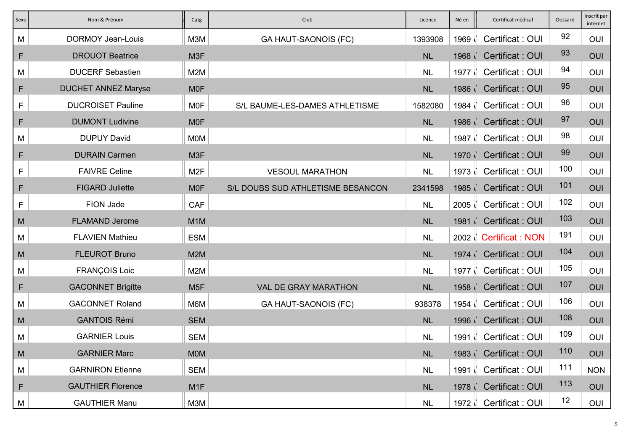| Sexe         | Nom & Prénom               | Catg             | Club                              | Licence   | Né en             | Certificat médical          | Dossard | Inscrit par<br>internet |
|--------------|----------------------------|------------------|-----------------------------------|-----------|-------------------|-----------------------------|---------|-------------------------|
| M            | <b>DORMOY Jean-Louis</b>   | M3M              | <b>GA HAUT-SAONOIS (FC)</b>       | 1393908   | 1969              | Certificat: OUI             | 92      | OUI                     |
| F            | <b>DROUOT Beatrice</b>     | M <sub>3</sub> F |                                   | <b>NL</b> | 1968 <sub>1</sub> | Certificat: OUI             | 93      | OUI                     |
| М            | <b>DUCERF Sebastien</b>    | M2M              |                                   | <b>NL</b> | 1977 $\sqrt{ }$   | Certificat: OUI             | 94      | OUI                     |
| F            | <b>DUCHET ANNEZ Maryse</b> | <b>MOF</b>       |                                   | NL        |                   | 1986 Certificat : OUI       | 95      | <b>OUI</b>              |
| F            | <b>DUCROISET Pauline</b>   | <b>MOF</b>       | S/L BAUME-LES-DAMES ATHLETISME    | 1582080   | 1984 $\sqrt{ }$   | Certificat: OUI             | 96      | OUI                     |
| $\mathsf{F}$ | <b>DUMONT Ludivine</b>     | <b>MOF</b>       |                                   | <b>NL</b> | 1986              | Certificat: OUI             | 97      | OUI                     |
| M            | <b>DUPUY David</b>         | <b>MOM</b>       |                                   | <b>NL</b> | 1987 $\sqrt{ }$   | Certificat: OUI             | 98      | OUI                     |
| F            | <b>DURAIN Carmen</b>       | M3F              |                                   | <b>NL</b> | 1970 <sub>1</sub> | Certificat: OUI             | 99      | OUI                     |
| $\mathsf F$  | <b>FAIVRE Celine</b>       | M <sub>2</sub> F | <b>VESOUL MARATHON</b>            | <b>NL</b> | 1973              | Certificat: OUI             | 100     | OUI                     |
| F            | <b>FIGARD Juliette</b>     | <b>MOF</b>       | S/L DOUBS SUD ATHLETISME BESANCON | 2341598   |                   | 1985 Certificat: OUI        | 101     | OUI                     |
| F            | FION Jade                  | <b>CAF</b>       |                                   | <b>NL</b> | $2005$ $\sqrt{ }$ | Certificat: OUI             | 102     | OUI                     |
| M            | <b>FLAMAND Jerome</b>      | M <sub>1</sub> M |                                   | <b>NL</b> |                   | 1981 Certificat: OUI        | 103     | OUI                     |
| M            | <b>FLAVIEN Mathieu</b>     | <b>ESM</b>       |                                   | <b>NL</b> |                   | 2002 <b>Certificat: NON</b> | 191     | OUI                     |
| M            | <b>FLEUROT Bruno</b>       | M <sub>2</sub> M |                                   | <b>NL</b> |                   | 1974 Certificat : OUI       | 104     | OUI                     |
| M            | <b>FRANÇOIS Loic</b>       | M2M              |                                   | <b>NL</b> | 1977 $ $          | Certificat: OUI             | 105     | <b>OUI</b>              |
| $\mathsf{F}$ | <b>GACONNET Brigitte</b>   | M <sub>5F</sub>  | <b>VAL DE GRAY MARATHON</b>       | <b>NL</b> | 1958 <sub>1</sub> | Certificat: OUI             | 107     | OUI                     |
| M            | <b>GACONNET Roland</b>     | M6M              | <b>GA HAUT-SAONOIS (FC)</b>       | 938378    | 1954              | Certificat: OUI             | 106     | <b>OUI</b>              |
| M            | <b>GANTOIS Rémi</b>        | <b>SEM</b>       |                                   | <b>NL</b> | 1996              | Certificat: OUI             | 108     | OUI                     |
| M            | <b>GARNIER Louis</b>       | <b>SEM</b>       |                                   | <b>NL</b> | 1991              | Certificat: OUI             | 109     | OUI                     |
| M            | <b>GARNIER Marc</b>        | <b>MOM</b>       |                                   | NL        |                   | 1983 Certificat : OUI       | 110     | OUI                     |
| M            | <b>GARNIRON Etienne</b>    | <b>SEM</b>       |                                   | <b>NL</b> |                   | 1991   Certificat : OUI     | 111     | <b>NON</b>              |
| F            | <b>GAUTHIER Florence</b>   | M <sub>1</sub> F |                                   | <b>NL</b> |                   | 1978 Certificat : OUI       | 113     | OUI                     |
| M            | <b>GAUTHIER Manu</b>       | M3M              |                                   | NL        | $1972$ $\sqrt{ }$ | Certificat: OUI             | 12      | OUI                     |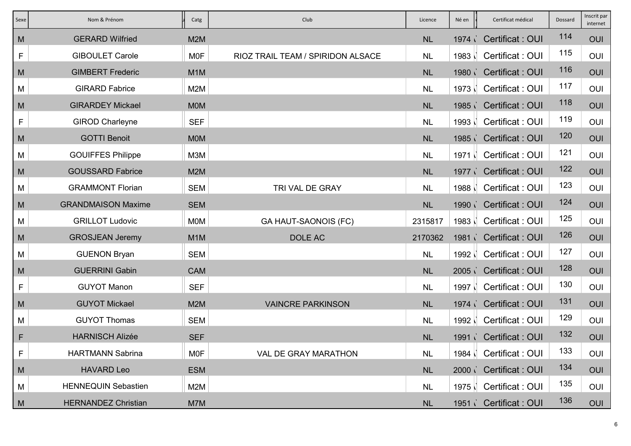| Sexe        | Nom & Prénom               | Catg             | Club                              | Licence   | Né en           | Certificat médical      | Dossard | Inscrit par<br>internet |
|-------------|----------------------------|------------------|-----------------------------------|-----------|-----------------|-------------------------|---------|-------------------------|
| M           | <b>GERARD Wilfried</b>     | M2M              |                                   | NL        | 1974            | Certificat: OUI         | 114     | OUI                     |
| F           | <b>GIBOULET Carole</b>     | <b>MOF</b>       | RIOZ TRAIL TEAM / SPIRIDON ALSACE | <b>NL</b> | $1983 \mid$     | Certificat: OUI         | 115     | OUI                     |
| M           | <b>GIMBERT Frederic</b>    | M <sub>1</sub> M |                                   | <b>NL</b> | 1980            | <b>Certificat: OUI</b>  | 116     | OUI                     |
| M           | <b>GIRARD Fabrice</b>      | M2M              |                                   | <b>NL</b> | 1973            | Certificat: OUI         | 117     | OUI                     |
| M           | <b>GIRARDEY Mickael</b>    | <b>MOM</b>       |                                   | <b>NL</b> | 1985            | <b>Certificat: OUI</b>  | 118     | OUI                     |
| F           | <b>GIROD Charleyne</b>     | <b>SEF</b>       |                                   | <b>NL</b> |                 | 1993   Certificat : OUI | 119     | OUI                     |
| M           | <b>GOTTI Benoit</b>        | <b>MOM</b>       |                                   | NL        |                 | 1985 Certificat : OUI   | 120     | OUI                     |
| М           | <b>GOUIFFES Philippe</b>   | M3M              |                                   | <b>NL</b> | 1971            | Certificat: OUI         | 121     | OUI                     |
| M           | <b>GOUSSARD Fabrice</b>    | M2M              |                                   | <b>NL</b> | 1977 $\sqrt{ }$ | <b>Certificat: OUI</b>  | 122     | OUI                     |
| M           | <b>GRAMMONT Florian</b>    | <b>SEM</b>       | TRI VAL DE GRAY                   | <b>NL</b> | 1988 N          | Certificat: OUI         | 123     | OUI                     |
| M           | <b>GRANDMAISON Maxime</b>  | <b>SEM</b>       |                                   | <b>NL</b> | 1990 i          | <b>Certificat: OUI</b>  | 124     | OUI                     |
| M           | <b>GRILLOT Ludovic</b>     | <b>MOM</b>       | <b>GA HAUT-SAONOIS (FC)</b>       | 2315817   |                 | 1983   Certificat : OUI | 125     | OUI                     |
| M           | <b>GROSJEAN Jeremy</b>     | M <sub>1</sub> M | DOLE AC                           | 2170362   |                 | 1981 Certificat : OUI   | 126     | OUI                     |
| М           | <b>GUENON Bryan</b>        | <b>SEM</b>       |                                   | <b>NL</b> | 1992 N          | Certificat: OUI         | 127     | OUI                     |
| M           | <b>GUERRINI Gabin</b>      | <b>CAM</b>       |                                   | NL        |                 | 2005 Certificat : OUI   | 128     | OUI                     |
| $\mathsf F$ | <b>GUYOT Manon</b>         | <b>SEF</b>       |                                   | <b>NL</b> | 1997 N          | Certificat: OUI         | 130     | OUI                     |
| M           | <b>GUYOT Mickael</b>       | M <sub>2</sub> M | <b>VAINCRE PARKINSON</b>          | <b>NL</b> | 1974            | <b>Certificat: OUI</b>  | 131     | OUI                     |
| M           | <b>GUYOT Thomas</b>        | <b>SEM</b>       |                                   | <b>NL</b> | 1992 ∖          | Certificat: OUI         | 129     | OUI                     |
| F           | <b>HARNISCH Alizée</b>     | <b>SEF</b>       |                                   | <b>NL</b> |                 | 1991 Certificat: OUI    | 132     | OUI                     |
| F           | <b>HARTMANN Sabrina</b>    | <b>MOF</b>       | VAL DE GRAY MARATHON              | <b>NL</b> |                 | 1984   Certificat : OUI | 133     | OUI                     |
| M           | <b>HAVARD Leo</b>          | <b>ESM</b>       |                                   | <b>NL</b> |                 | 2000 Certificat : OUI   | 134     | OUI                     |
| M           | <b>HENNEQUIN Sebastien</b> | M2M              |                                   | <b>NL</b> |                 | 1975   Certificat : OUI | 135     | OUI                     |
| M           | <b>HERNANDEZ Christian</b> | M7M              |                                   | NL        | $1951$ $\sim$   | Certificat: OUI         | 136     | OUI                     |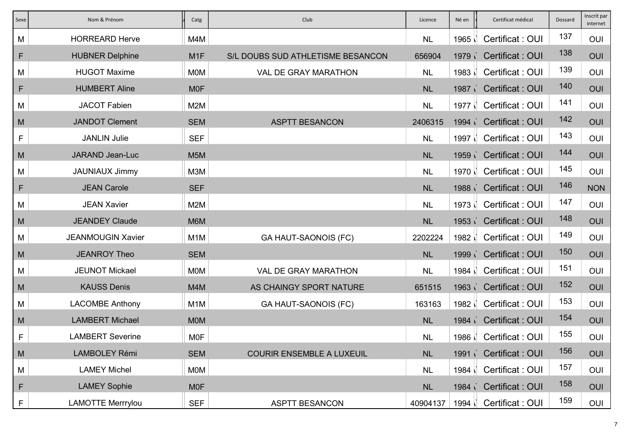| Sexe | Nom & Prénom             | Catg             | Club                              | Licence   | Né en             | Certificat médical      | Dossard | Inscrit par<br>internet |
|------|--------------------------|------------------|-----------------------------------|-----------|-------------------|-------------------------|---------|-------------------------|
| M    | <b>HORREARD Herve</b>    | M4M              |                                   | <b>NL</b> | 1965              | Certificat: OUI         | 137     | OUI                     |
| F    | <b>HUBNER Delphine</b>   | M <sub>1</sub> F | S/L DOUBS SUD ATHLETISME BESANCON | 656904    | 1979 <sub>1</sub> | <b>Certificat: OUI</b>  | 138     | OUI                     |
| M    | <b>HUGOT Maxime</b>      | <b>MOM</b>       | <b>VAL DE GRAY MARATHON</b>       | <b>NL</b> | 1983 N            | Certificat: OUI         | 139     | OUI                     |
| F    | <b>HUMBERT Aline</b>     | <b>MOF</b>       |                                   | <b>NL</b> |                   | 1987 Certificat : OUI   | 140     | OUI                     |
| M    | <b>JACOT Fabien</b>      | M2M              |                                   | <b>NL</b> | 1977 N            | Certificat: OUI         | 141     | OUI                     |
| M    | <b>JANDOT Clement</b>    | <b>SEM</b>       | <b>ASPTT BESANCON</b>             | 2406315   | 1994              | <b>Certificat: OUI</b>  | 142     | OUI                     |
| F    | <b>JANLIN Julie</b>      | <b>SEF</b>       |                                   | <b>NL</b> | 1997 <sup>\</sup> | Certificat: OUI         | 143     | OUI                     |
| M    | <b>JARAND Jean-Luc</b>   | M <sub>5</sub> M |                                   | <b>NL</b> | 1959              | Certificat: OUI         | 144     | OUI                     |
| M    | <b>JAUNIAUX Jimmy</b>    | M3M              |                                   | <b>NL</b> | 1970 N            | Certificat: OUI         | 145     | OUI                     |
| F    | <b>JEAN Carole</b>       | <b>SEF</b>       |                                   | <b>NL</b> |                   | 1988 Certificat : OUI   | 146     | <b>NON</b>              |
| M    | <b>JEAN Xavier</b>       | M2M              |                                   | <b>NL</b> | 1973              | Certificat: OUI         | 147     | OUI                     |
| M    | <b>JEANDEY Claude</b>    | M6M              |                                   | <b>NL</b> |                   | 1953 Certificat: OUI    | 148     | OUI                     |
| M    | <b>JEANMOUGIN Xavier</b> | M <sub>1</sub> M | <b>GA HAUT-SAONOIS (FC)</b>       | 2202224   | 1982 N            | Certificat: OUI         | 149     | OUI                     |
| M    | <b>JEANROY Theo</b>      | <b>SEM</b>       |                                   | <b>NL</b> | 1999 <sub>1</sub> | <b>Certificat: OUI</b>  | 150     | OUI                     |
| M    | <b>JEUNOT Mickael</b>    | <b>MOM</b>       | <b>VAL DE GRAY MARATHON</b>       | <b>NL</b> | 1984              | Certificat: OUI         | 151     | OUI                     |
| M    | <b>KAUSS Denis</b>       | M4M              | AS CHAINGY SPORT NATURE           | 651515    | 1963              | <b>Certificat: OUI</b>  | 152     | OUI                     |
| M    | <b>LACOMBE Anthony</b>   | M <sub>1</sub> M | <b>GA HAUT-SAONOIS (FC)</b>       | 163163    | 1982              | Certificat: OUI         | 153     | OUI                     |
| M    | <b>LAMBERT Michael</b>   | <b>MOM</b>       |                                   | <b>NL</b> | 1984 <sub>1</sub> | Certificat: OUI         | 154     | OUI                     |
| F    | <b>LAMBERT Severine</b>  | <b>MOF</b>       |                                   | <b>NL</b> |                   | 1986   Certificat : OUI | 155     | OUI                     |
| M    | <b>LAMBOLEY Rémi</b>     | <b>SEM</b>       | <b>COURIR ENSEMBLE A LUXEUIL</b>  | <b>NL</b> |                   | 1991 Certificat: OUI    | 156     | OUI                     |
| M    | <b>LAMEY Michel</b>      | <b>MOM</b>       |                                   | <b>NL</b> |                   | 1984   Certificat : OUI | 157     | OUI                     |
| F    | <b>LAMEY Sophie</b>      | <b>MOF</b>       |                                   | <b>NL</b> |                   | 1984 Certificat : OUI   | 158     | OUI                     |
| F    | <b>LAMOTTE Merrrylou</b> | <b>SEF</b>       | <b>ASPTT BESANCON</b>             | 40904137  | 1994              | Certificat: OUI         | 159     | OUI                     |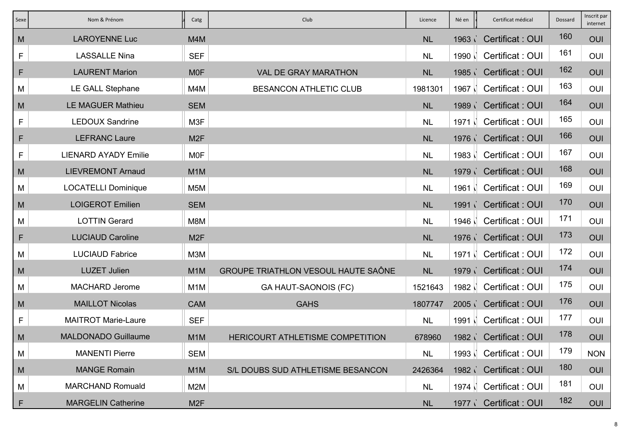| Sexe | Nom & Prénom                | Catg             | Club                                       | Licence   | Né en             | Certificat médical      | Dossard | Inscrit par<br>internet |
|------|-----------------------------|------------------|--------------------------------------------|-----------|-------------------|-------------------------|---------|-------------------------|
| M    | <b>LAROYENNE Luc</b>        | M4M              |                                            | <b>NL</b> | 1963              | Certificat: OUI         | 160     | OUI                     |
| F    | <b>LASSALLE Nina</b>        | <b>SEF</b>       |                                            | <b>NL</b> | $1990$ $\sqrt{ }$ | Certificat: OUI         | 161     | OUI                     |
| F    | <b>LAURENT Marion</b>       | <b>MOF</b>       | <b>VAL DE GRAY MARATHON</b>                | <b>NL</b> | 1985              | Certificat: OUI         | 162     | OUI                     |
| M    | <b>LE GALL Stephane</b>     | M4M              | <b>BESANCON ATHLETIC CLUB</b>              | 1981301   | 1967 N            | Certificat: OUI         | 163     | OUI                     |
| M    | <b>LE MAGUER Mathieu</b>    | <b>SEM</b>       |                                            | <b>NL</b> |                   | 1989 Certificat : OUI   | 164     | OUI                     |
| F    | <b>LEDOUX Sandrine</b>      | M3F              |                                            | <b>NL</b> | 1971 N            | Certificat: OUI         | 165     | OUI                     |
| F    | <b>LEFRANC Laure</b>        | M <sub>2F</sub>  |                                            | <b>NL</b> |                   | 1976 Certificat : OUI   | 166     | OUI                     |
| F    | <b>LIENARD AYADY Emilie</b> | <b>MOF</b>       |                                            | <b>NL</b> | 1983              | Certificat: OUI         | 167     | OUI                     |
| M    | <b>LIEVREMONT Arnaud</b>    | M <sub>1</sub> M |                                            | <b>NL</b> |                   | 1979 Certificat: OUI    | 168     | OUI                     |
| M    | <b>LOCATELLI Dominique</b>  | M5M              |                                            | <b>NL</b> | 1961              | Certificat: OUI         | 169     | OUI                     |
| M    | <b>LOIGEROT Emilien</b>     | <b>SEM</b>       |                                            | <b>NL</b> | 1991 <sub>1</sub> | <b>Certificat: OUI</b>  | 170     | OUI                     |
| M    | <b>LOTTIN Gerard</b>        | M8M              |                                            | <b>NL</b> |                   | 1946   Certificat : OUI | 171     | OUI                     |
| F    | <b>LUCIAUD Caroline</b>     | M <sub>2F</sub>  |                                            | <b>NL</b> |                   | 1976 Certificat : OUI   | 173     | OUI                     |
| M    | <b>LUCIAUD Fabrice</b>      | M3M              |                                            | <b>NL</b> | $1971$ $\vert$    | Certificat: OUI         | 172     | OUI                     |
| M    | <b>LUZET Julien</b>         | M <sub>1</sub> M | <b>GROUPE TRIATHLON VESOUL HAUTE SAÔNE</b> | <b>NL</b> | 1979 <sub>1</sub> | <b>Certificat: OUI</b>  | 174     | OUI                     |
| M    | <b>MACHARD Jerome</b>       | M <sub>1</sub> M | <b>GA HAUT-SAONOIS (FC)</b>                | 1521643   | 1982 <sup>\</sup> | Certificat: OUI         | 175     | OUI                     |
| M    | <b>MAILLOT Nicolas</b>      | <b>CAM</b>       | <b>GAHS</b>                                | 1807747   | 2005              | Certificat: OUI         | 176     | OUI                     |
| F    | <b>MAITROT Marie-Laure</b>  | <b>SEF</b>       |                                            | <b>NL</b> | $1991 \mid$       | Certificat: OUI         | 177     | OUI                     |
| M    | <b>MALDONADO Guillaume</b>  | M <sub>1</sub> M | HERICOURT ATHLETISME COMPETITION           | 678960    |                   | 1982 Certificat : OUI   | 178     | OUI                     |
| M    | <b>MANENTI Pierre</b>       | <b>SEM</b>       |                                            | <b>NL</b> |                   | 1993   Certificat : OUI | 179     | <b>NON</b>              |
| M    | <b>MANGE Romain</b>         | M <sub>1</sub> M | S/L DOUBS SUD ATHLETISME BESANCON          | 2426364   |                   | 1982 Certificat : OUI   | 180     | OUI                     |
| M    | <b>MARCHAND Romuald</b>     | M2M              |                                            | <b>NL</b> |                   | 1974   Certificat : OUI | 181     | OUI                     |
| F    | <b>MARGELIN Catherine</b>   | M <sub>2</sub> F |                                            | <b>NL</b> | 1977              | Certificat: OUI         | 182     | OUI                     |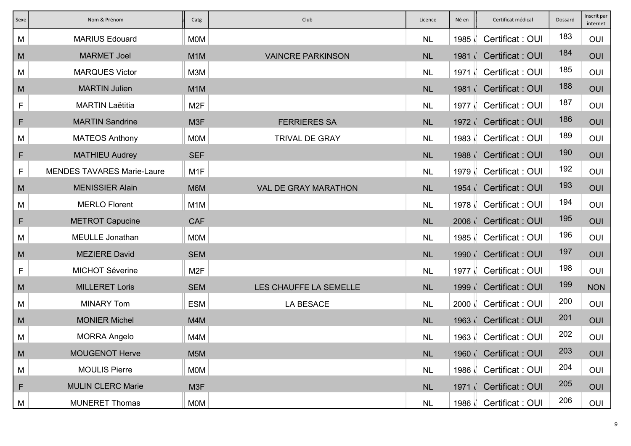| Sexe         | Nom & Prénom                      | Catg             | Club                        | Licence   | Né en             | Certificat médical      | Dossard | Inscrit par<br>internet |
|--------------|-----------------------------------|------------------|-----------------------------|-----------|-------------------|-------------------------|---------|-------------------------|
| M            | <b>MARIUS Edouard</b>             | <b>MOM</b>       |                             | <b>NL</b> | 1985              | Certificat: OUI         | 183     | OUI                     |
| M            | <b>MARMET Joel</b>                | M <sub>1</sub> M | <b>VAINCRE PARKINSON</b>    | NL        | 1981 <sub>1</sub> | <b>Certificat: OUI</b>  | 184     | OUI                     |
| М            | <b>MARQUES Victor</b>             | M3M              |                             | <b>NL</b> | $1971$ $\vert$    | Certificat: OUI         | 185     | OUI                     |
| M            | <b>MARTIN Julien</b>              | M <sub>1</sub> M |                             | NL        |                   | 1981 Certificat: OUI    | 188     | OUI                     |
| F            | <b>MARTIN Laëtitia</b>            | M <sub>2</sub> F |                             | <b>NL</b> | 1977 N            | Certificat: OUI         | 187     | OUI                     |
| $\mathsf{F}$ | <b>MARTIN Sandrine</b>            | M3F              | <b>FERRIERES SA</b>         | <b>NL</b> |                   | 1972 Certificat : OUI   | 186     | OUI                     |
| M            | <b>MATEOS Anthony</b>             | <b>MOM</b>       | <b>TRIVAL DE GRAY</b>       | <b>NL</b> | 1983              | Certificat: OUI         | 189     | OUI                     |
| F            | <b>MATHIEU Audrey</b>             | <b>SEF</b>       |                             | <b>NL</b> |                   | 1988 Certificat: OUI    | 190     | OUI                     |
| F            | <b>MENDES TAVARES Marie-Laure</b> | M <sub>1</sub> F |                             | <b>NL</b> | 1979 N            | Certificat: OUI         | 192     | OUI                     |
| M            | <b>MENISSIER Alain</b>            | M6M              | <b>VAL DE GRAY MARATHON</b> | NL        |                   | 1954 Certificat: OUI    | 193     | OUI                     |
| М            | <b>MERLO Florent</b>              | M <sub>1</sub> M |                             | <b>NL</b> | 1978              | Certificat: OUI         | 194     | OUI                     |
| $\mathsf{F}$ | <b>METROT Capucine</b>            | <b>CAF</b>       |                             | <b>NL</b> |                   | 2006 Certificat : OUI   | 195     | OUI                     |
| M            | <b>MEULLE Jonathan</b>            | <b>MOM</b>       |                             | <b>NL</b> | 1985 \            | Certificat: OUI         | 196     | OUI                     |
| M            | <b>MEZIERE David</b>              | <b>SEM</b>       |                             | <b>NL</b> | 1990 i            | Certificat: OUI         | 197     | OUI                     |
| F            | <b>MICHOT Séverine</b>            | M <sub>2F</sub>  |                             | <b>NL</b> | 1977              | Certificat: OUI         | 198     | OUI                     |
| M            | <b>MILLERET Loris</b>             | <b>SEM</b>       | LES CHAUFFE LA SEMELLE      | <b>NL</b> | 1999 <sub>1</sub> | Certificat: OUI         | 199     | <b>NON</b>              |
| М            | <b>MINARY Tom</b>                 | <b>ESM</b>       | <b>LA BESACE</b>            | <b>NL</b> | 2000              | Certificat: OUI         | 200     | OUI                     |
| M            | <b>MONIER Michel</b>              | M4M              |                             | <b>NL</b> |                   | 1963 Certificat : OUI   | 201     | OUI                     |
| M            | <b>MORRA Angelo</b>               | M4M              |                             | <b>NL</b> |                   | 1963   Certificat : OUI | 202     | OUI                     |
| M            | <b>MOUGENOT Herve</b>             | M <sub>5</sub> M |                             | NL        |                   | 1960 Certificat : OUI   | 203     | OUI                     |
| М            | <b>MOULIS Pierre</b>              | <b>MOM</b>       |                             | <b>NL</b> |                   | 1986   Certificat : OUI | 204     | OUI                     |
| F            | <b>MULIN CLERC Marie</b>          | M <sub>3</sub> F |                             | <b>NL</b> |                   | 1971 Certificat : OUI   | 205     | OUI                     |
| M            | <b>MUNERET Thomas</b>             | <b>MOM</b>       |                             | <b>NL</b> | 1986              | Certificat: OUI         | 206     | OUI                     |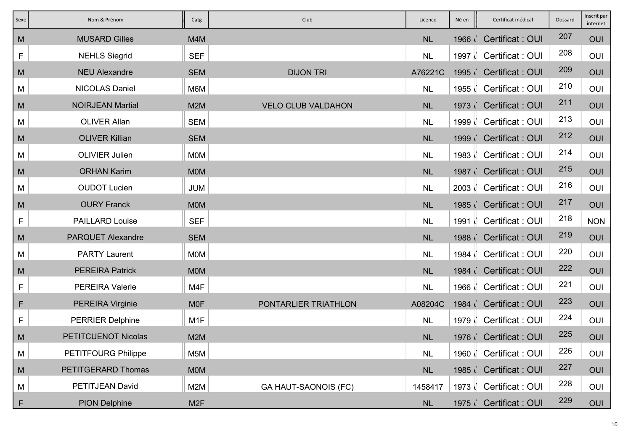| Sexe | Nom & Prénom               | Catg             | Club                        | Licence   | Né en   | Certificat médical      | Dossard | Inscrit par<br>internet |
|------|----------------------------|------------------|-----------------------------|-----------|---------|-------------------------|---------|-------------------------|
| M    | <b>MUSARD Gilles</b>       | M4M              |                             | <b>NL</b> | 1966 i  | Certificat: OUI         | 207     | OUI                     |
| F    | <b>NEHLS Siegrid</b>       | <b>SEF</b>       |                             | <b>NL</b> | 1997 N  | Certificat: OUI         | 208     | OUI                     |
| M    | <b>NEU Alexandre</b>       | <b>SEM</b>       | <b>DIJON TRI</b>            | A76221C   | 1995    | Certificat: OUI         | 209     | OUI                     |
| M    | <b>NICOLAS Daniel</b>      | M6M              |                             | <b>NL</b> | 1955    | Certificat: OUI         | 210     | OUI                     |
| M    | <b>NOIRJEAN Martial</b>    | M <sub>2</sub> M | <b>VELO CLUB VALDAHON</b>   | <b>NL</b> |         | 1973 Certificat: OUI    | 211     | OUI                     |
| M    | <b>OLIVER Allan</b>        | <b>SEM</b>       |                             | <b>NL</b> | 1999 ∖` | Certificat: OUI         | 213     | OUI                     |
| M    | <b>OLIVER Killian</b>      | <b>SEM</b>       |                             | <b>NL</b> | 1999i   | <b>Certificat: OUI</b>  | 212     | OUI                     |
| M    | <b>OLIVIER Julien</b>      | <b>MOM</b>       |                             | <b>NL</b> | 1983    | Certificat: OUI         | 214     | OUI                     |
| M    | <b>ORHAN Karim</b>         | <b>MOM</b>       |                             | <b>NL</b> | 1987    | <b>Certificat: OUI</b>  | 215     | OUI                     |
| M    | <b>OUDOT Lucien</b>        | <b>JUM</b>       |                             | <b>NL</b> | 2003    | Certificat: OUI         | 216     | OUI                     |
| M    | <b>OURY Franck</b>         | <b>MOM</b>       |                             | <b>NL</b> |         | 1985 / Certificat : OUI | 217     | OUI                     |
| F    | <b>PAILLARD Louise</b>     | <b>SEF</b>       |                             | <b>NL</b> | 1991 N  | Certificat: OUI         | 218     | <b>NON</b>              |
| M    | <b>PARQUET Alexandre</b>   | <b>SEM</b>       |                             | <b>NL</b> |         | 1988 Certificat : OUI   | 219     | OUI                     |
| M    | <b>PARTY Laurent</b>       | <b>MOM</b>       |                             | <b>NL</b> | 1984    | Certificat: OUI         | 220     | OUI                     |
| M    | <b>PEREIRA Patrick</b>     | <b>MOM</b>       |                             | <b>NL</b> | 1984    | <b>Certificat: OUI</b>  | 222     | OUI                     |
| F    | <b>PEREIRA Valerie</b>     | M4F              |                             | <b>NL</b> | 1966    | Certificat: OUI         | 221     | OUI                     |
| F    | <b>PEREIRA Virginie</b>    | <b>MOF</b>       | PONTARLIER TRIATHLON        | A08204C   | 1984    | <b>Certificat: OUI</b>  | 223     | OUI                     |
| F    | <b>PERRIER Delphine</b>    | M <sub>1</sub> F |                             | <b>NL</b> |         | 1979   Certificat : OUI | 224     | OUI                     |
| M    | PETITCUENOT Nicolas        | M <sub>2</sub> M |                             | <b>NL</b> |         | 1976 Certificat : OUI   | 225     | OUI                     |
| M    | <b>PETITFOURG Philippe</b> | M <sub>5</sub> M |                             | <b>NL</b> |         | 1960   Certificat : OUI | 226     | OUI                     |
| M    | PETITGERARD Thomas         | <b>MOM</b>       |                             | <b>NL</b> |         | 1985 Certificat : OUI   | 227     | OUI                     |
| M    | PETITJEAN David            | M2M              | <b>GA HAUT-SAONOIS (FC)</b> | 1458417   |         | 1973   Certificat : OUI | 228     | OUI                     |
| F    | <b>PION Delphine</b>       | M <sub>2</sub> F |                             | <b>NL</b> | 1975    | Certificat: OUI         | 229     | OUI                     |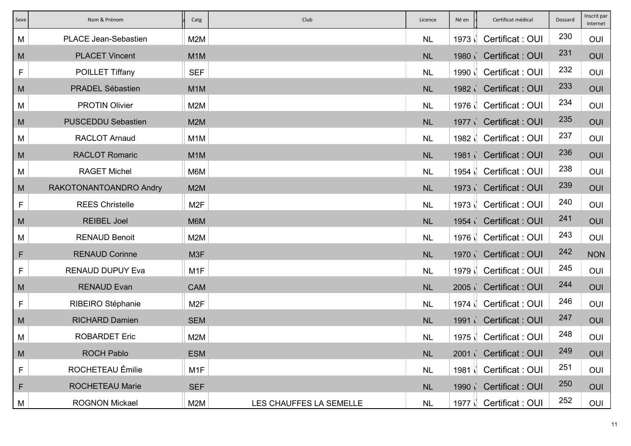| Sexe | Nom & Prénom                | Catg             | Club                    | Licence   | Né en  | Certificat médical      | Dossard | Inscrit par<br>internet |
|------|-----------------------------|------------------|-------------------------|-----------|--------|-------------------------|---------|-------------------------|
| M    | <b>PLACE Jean-Sebastien</b> | M2M              |                         | <b>NL</b> | 1973   | Certificat: OUI         | 230     | OUI                     |
| M    | <b>PLACET Vincent</b>       | M <sub>1</sub> M |                         | <b>NL</b> |        | 1980 Certificat: OUI    | 231     | OUI                     |
| F    | POILLET Tiffany             | <b>SEF</b>       |                         | <b>NL</b> |        | 1990   Certificat : OUI | 232     | OUI                     |
| M    | <b>PRADEL Sébastien</b>     | M <sub>1</sub> M |                         | <b>NL</b> |        | 1982 Certificat : OUI   | 233     | OUI                     |
| М    | <b>PROTIN Olivier</b>       | M2M              |                         | <b>NL</b> |        | 1976   Certificat : OUI | 234     | OUI                     |
| M    | <b>PUSCEDDU Sebastien</b>   | M <sub>2</sub> M |                         | <b>NL</b> |        | 1977 Certificat: OUI    | 235     | OUI                     |
| M    | <b>RACLOT Arnaud</b>        | M <sub>1</sub> M |                         | <b>NL</b> | 1982 N | Certificat: OUI         | 237     | OUI                     |
| M    | <b>RACLOT Romaric</b>       | M <sub>1</sub> M |                         | NL        |        | 1981 / Certificat : OUI | 236     | OUI                     |
| М    | <b>RAGET Michel</b>         | M6M              |                         | <b>NL</b> |        | 1954   Certificat : OUI | 238     | OUI                     |
| M    | RAKOTONANTOANDRO Andry      | M <sub>2</sub> M |                         | <b>NL</b> |        | 1973 Certificat: OUI    | 239     | OUI                     |
| F    | <b>REES Christelle</b>      | M <sub>2F</sub>  |                         | <b>NL</b> |        | 1973   Certificat : OUI | 240     | OUI                     |
| M    | <b>REIBEL Joel</b>          | M6M              |                         | <b>NL</b> |        | 1954 Certificat: OUI    | 241     | OUI                     |
| M    | <b>RENAUD Benoit</b>        | M2M              |                         | <b>NL</b> |        | 1976   Certificat : OUI | 243     | OUI                     |
| F    | <b>RENAUD Corinne</b>       | M3F              |                         | <b>NL</b> |        | 1970 Certificat : OUI   | 242     | <b>NON</b>              |
| F    | <b>RENAUD DUPUY Eva</b>     | M <sub>1</sub> F |                         | <b>NL</b> |        | 1979   Certificat : OUI | 245     | OUI                     |
| M    | <b>RENAUD Evan</b>          | <b>CAM</b>       |                         | <b>NL</b> | 2005   | <b>Certificat: OUI</b>  | 244     | OUI                     |
| F    | RIBEIRO Stéphanie           | M <sub>2F</sub>  |                         | <b>NL</b> | 1974   | Certificat: OUI         | 246     | OUI                     |
| M    | <b>RICHARD Damien</b>       | <b>SEM</b>       |                         | <b>NL</b> |        | 1991 / Certificat : OUI | 247     | OUI                     |
| M    | <b>ROBARDET Eric</b>        | M2M              |                         | <b>NL</b> |        | 1975   Certificat : OUI | 248     | OUI                     |
| M    | <b>ROCH Pablo</b>           | <b>ESM</b>       |                         | NL        |        | 2001 Certificat : OUI   | 249     | OUI                     |
| F    | ROCHETEAU Émilie            | M <sub>1</sub> F |                         | <b>NL</b> |        | 1981   Certificat : OUI | 251     | OUI                     |
| F    | ROCHETEAU Marie             | <b>SEF</b>       |                         | <b>NL</b> |        | 1990 Certificat : OUI   | 250     | OUI                     |
| M    | <b>ROGNON Mickael</b>       | M2M              | LES CHAUFFES LA SEMELLE | <b>NL</b> | 1977 N | Certificat: OUI         | 252     | OUI                     |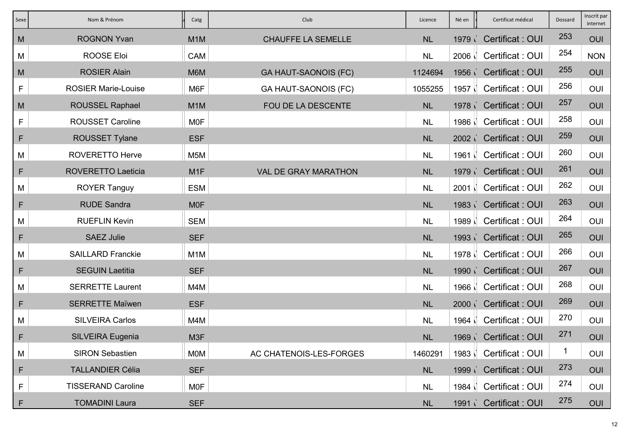| Sexe | Nom & Prénom               | Catg             | Club                        | Licence   | Né en             | Certificat médical      | Dossard | Inscrit par<br>internet |
|------|----------------------------|------------------|-----------------------------|-----------|-------------------|-------------------------|---------|-------------------------|
| M    | <b>ROGNON Yvan</b>         | M <sub>1</sub> M | <b>CHAUFFE LA SEMELLE</b>   | <b>NL</b> | 1979i             | Certificat: OUI         | 253     | OUI                     |
| M    | <b>ROOSE Eloi</b>          | CAM              |                             | <b>NL</b> | 2006              | Certificat: OUI         | 254     | <b>NON</b>              |
| M    | <b>ROSIER Alain</b>        | M6M              | <b>GA HAUT-SAONOIS (FC)</b> | 1124694   |                   | 1956 Certificat : OUI   | 255     | OUI                     |
| F    | <b>ROSIER Marie-Louise</b> | M6F              | <b>GA HAUT-SAONOIS (FC)</b> | 1055255   | 1957 N            | Certificat: OUI         | 256     | OUI                     |
| M    | <b>ROUSSEL Raphael</b>     | M <sub>1</sub> M | FOU DE LA DESCENTE          | <b>NL</b> |                   | 1978 Certificat : OUI   | 257     | OUI                     |
| F    | <b>ROUSSET Caroline</b>    | <b>MOF</b>       |                             | <b>NL</b> | 1986 N            | Certificat: OUI         | 258     | OUI                     |
| F    | <b>ROUSSET Tylane</b>      | <b>ESF</b>       |                             | <b>NL</b> |                   | 2002 Certificat: OUI    | 259     | OUI                     |
| M    | <b>ROVERETTO Herve</b>     | M <sub>5</sub> M |                             | <b>NL</b> | 1961              | Certificat: OUI         | 260     | OUI                     |
| F    | <b>ROVERETTO Laeticia</b>  | M <sub>1</sub> F | <b>VAL DE GRAY MARATHON</b> | <b>NL</b> |                   | 1979 Certificat: OUI    | 261     | OUI                     |
| M    | <b>ROYER Tanguy</b>        | <b>ESM</b>       |                             | <b>NL</b> | $2001$ $\sqrt{ }$ | Certificat: OUI         | 262     | OUI                     |
| F    | <b>RUDE Sandra</b>         | <b>MOF</b>       |                             | <b>NL</b> | 1983              | Certificat: OUI         | 263     | OUI                     |
| M    | <b>RUEFLIN Kevin</b>       | <b>SEM</b>       |                             | <b>NL</b> | 1989 N            | Certificat: OUI         | 264     | OUI                     |
| F    | <b>SAEZ Julie</b>          | <b>SEF</b>       |                             | <b>NL</b> |                   | 1993 Certificat: OUI    | 265     | OUI                     |
| M    | <b>SAILLARD Franckie</b>   | M <sub>1</sub> M |                             | <b>NL</b> | 1978              | Certificat: OUI         | 266     | OUI                     |
| F    | <b>SEGUIN Laetitia</b>     | <b>SEF</b>       |                             | <b>NL</b> | 1990 i            | Certificat: OUI         | 267     | OUI                     |
| M    | <b>SERRETTE Laurent</b>    | M4M              |                             | <b>NL</b> | 1966              | Certificat: OUI         | 268     | OUI                     |
| F    | <b>SERRETTE Maïwen</b>     | <b>ESF</b>       |                             | <b>NL</b> | 2000 i            | <b>Certificat: OUI</b>  | 269     | OUI                     |
| М    | <b>SILVEIRA Carlos</b>     | M4M              |                             | <b>NL</b> | 1964 N            | Certificat: OUI         | 270     | OUI                     |
| F    | <b>SILVEIRA Eugenia</b>    | M3F              |                             | <b>NL</b> |                   | 1969 Certificat : OUI   | 271     | OUI                     |
| M    | <b>SIRON Sebastien</b>     | <b>MOM</b>       | AC CHATENOIS-LES-FORGES     | 1460291   |                   | 1983   Certificat : OUI | 1       | OUI                     |
| F    | <b>TALLANDIER Célia</b>    | <b>SEF</b>       |                             | NL        |                   | 1999 Certificat : OUI   | 273     | OUI                     |
| F    | <b>TISSERAND Caroline</b>  | <b>MOF</b>       |                             | <b>NL</b> |                   | 1984   Certificat : OUI | 274     | OUI                     |
| F    | <b>TOMADINI Laura</b>      | <b>SEF</b>       |                             | <b>NL</b> | 1991 <sub>1</sub> | Certificat: OUI         | 275     | OUI                     |